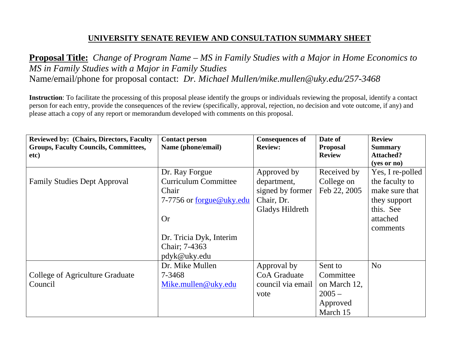# **UNIVERSITY SENATE REVIEW AND CONSULTATION SUMMARY SHEET**

**Proposal Title:** *Change of Program Name – MS in Family Studies with a Major in Home Economics to MS in Family Studies with a Major in Family Studies*  Name/email/phone for proposal contact: *Dr. Michael Mullen/mike.mullen@uky.edu/257-3468* 

**Instruction**: To facilitate the processing of this proposal please identify the groups or individuals reviewing the proposal, identify a contact person for each entry, provide the consequences of the review (specifically, approval, rejection, no decision and vote outcome, if any) and please attach a copy of any report or memorandum developed with comments on this proposal.

| <b>Reviewed by: (Chairs, Directors, Faculty)</b><br><b>Groups, Faculty Councils, Committees,</b> | <b>Contact person</b><br>Name (phone/email) | <b>Consequences of</b><br><b>Review:</b> | Date of<br><b>Proposal</b> | <b>Review</b><br><b>Summary</b> |
|--------------------------------------------------------------------------------------------------|---------------------------------------------|------------------------------------------|----------------------------|---------------------------------|
| etc)                                                                                             |                                             |                                          | <b>Review</b>              | <b>Attached?</b>                |
|                                                                                                  |                                             |                                          |                            | $(yes \text{ or } no)$          |
|                                                                                                  | Dr. Ray Forgue                              | Approved by                              | Received by                | Yes, I re-polled                |
| <b>Family Studies Dept Approval</b>                                                              | <b>Curriculum Committee</b>                 | department,                              | College on                 | the faculty to                  |
|                                                                                                  | Chair                                       | signed by former                         | Feb 22, 2005               | make sure that                  |
|                                                                                                  | 7-7756 or forgue@uky.edu                    | Chair, Dr.                               |                            | they support                    |
|                                                                                                  |                                             | Gladys Hildreth                          |                            | this. See                       |
|                                                                                                  | <b>Or</b>                                   |                                          |                            | attached                        |
|                                                                                                  |                                             |                                          |                            | comments                        |
|                                                                                                  | Dr. Tricia Dyk, Interim                     |                                          |                            |                                 |
|                                                                                                  | Chair; 7-4363                               |                                          |                            |                                 |
|                                                                                                  | pdyk@uky.edu                                |                                          |                            |                                 |
|                                                                                                  | Dr. Mike Mullen                             | Approval by                              | Sent to                    | N <sub>o</sub>                  |
| College of Agriculture Graduate                                                                  | 7-3468                                      | <b>CoA</b> Graduate                      | Committee                  |                                 |
| Council                                                                                          | Mike.mullen@uky.edu                         | council via email                        | on March 12,               |                                 |
|                                                                                                  |                                             | vote                                     | $2005 -$                   |                                 |
|                                                                                                  |                                             |                                          | Approved                   |                                 |
|                                                                                                  |                                             |                                          | March 15                   |                                 |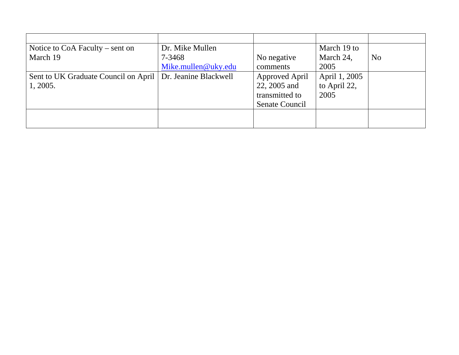| Notice to $CoA$ Faculty – sent on                            | Dr. Mike Mullen     |                       | March 19 to   |                |
|--------------------------------------------------------------|---------------------|-----------------------|---------------|----------------|
| March 19                                                     | 7-3468              | No negative           | March 24,     | N <sub>o</sub> |
|                                                              | Mike.mullen@uky.edu | comments              | 2005          |                |
| Sent to UK Graduate Council on April   Dr. Jeanine Blackwell |                     | <b>Approved April</b> | April 1, 2005 |                |
| 1, 2005.                                                     |                     | 22, 2005 and          | to April 22,  |                |
|                                                              |                     | transmitted to        | 2005          |                |
|                                                              |                     | Senate Council        |               |                |
|                                                              |                     |                       |               |                |
|                                                              |                     |                       |               |                |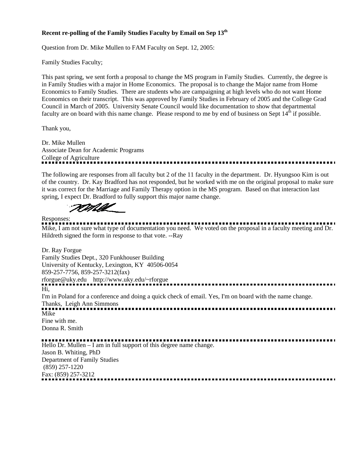### **Recent re-polling of the Family Studies Faculty by Email on Sep 13<sup>th</sup>**

Question from Dr. Mike Mullen to FAM Faculty on Sept. 12, 2005:

Family Studies Faculty;

This past spring, we sent forth a proposal to change the MS program in Family Studies. Currently, the degree is in Family Studies with a major in Home Economics. The proposal is to change the Major name from Home Economics to Family Studies. There are students who are campaigning at high levels who do not want Home Economics on their transcript. This was approved by Family Studies in February of 2005 and the College Grad Council in March of 2005. University Senate Council would like documentation to show that departmental faculty are on board with this name change. Please respond to me by end of business on Sept  $14<sup>th</sup>$  if possible.

Thank you,

Dr. Mike Mullen Associate Dean for Academic Programs College of Agriculture 

The following are responses from all faculty but 2 of the 11 faculty in the department. Dr. Hyungsoo Kim is out of the country. Dr. Kay Bradford has not responded, but he worked with me on the original proposal to make sure it was correct for the Marriage and Family Therapy option in the MS program. Based on that interaction last spring, I expect Dr. Bradford to fully support this major name change.

TOMA

Responses: Mike, I am not sure what type of documentation you need. We voted on the proposal in a faculty meeting and Dr. Hildreth signed the form in response to that vote. --Ray

Dr. Ray Forgue Family Studies Dept., 320 Funkhouser Building University of Kentucky, Lexington, KY 40506-0054 859-257-7756, 859-257-3212(fax) rforgue@uky.edu http://www.uky.edu/~rforgue Hi,

I'm in Poland for a conference and doing a quick check of email. Yes, I'm on board with the name change. Thanks, Leigh Ann Simmons

Mike Fine with me. Donna R. Smith

Hello Dr. Mullen – I am in full support of this degree name change. Jason B. Whiting, PhD Department of Family Studies (859) 257-1220 Fax: (859) 257-3212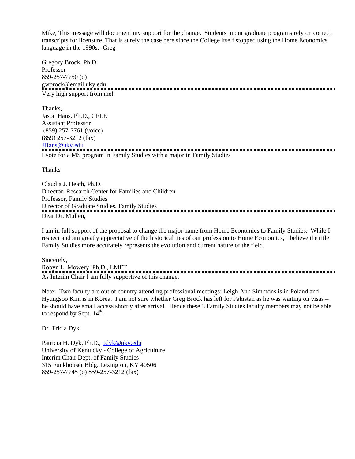Mike, This message will document my support for the change. Students in our graduate programs rely on correct transcripts for licensure. That is surely the case here since the College itself stopped using the Home Economics language in the 1990s. -Greg

Gregory Brock, Ph.D. Professor 859-257-7750 (o) gwbrock@email.uky.edu Very high support from me!

Thanks, Jason Hans, Ph.D., CFLE Assistant Professor (859) 257-7761 (voice) (859) 257-3212 (fax) JHans@uky.edu

I vote for a MS program in Family Studies with a major in Family Studies

Thanks

Claudia J. Heath, Ph.D. Director, Research Center for Families and Children Professor, Family Studies Director of Graduate Studies, Family Studies Dear Dr. Mullen,

I am in full support of the proposal to change the major name from Home Economics to Family Studies. While I respect and am greatly appreciative of the historical ties of our profession to Home Economics, I believe the title Family Studies more accurately represents the evolution and current nature of the field.

Sincerely, Robyn L. Mowery, Ph.D., LMFT ........................... As Interim Chair I am fully supportive of this change.

Note: Two faculty are out of country attending professional meetings: Leigh Ann Simmons is in Poland and Hyungsoo Kim is in Korea. I am not sure whether Greg Brock has left for Pakistan as he was waiting on visas – he should have email access shortly after arrival. Hence these 3 Family Studies faculty members may not be able to respond by Sept.  $14<sup>th</sup>$ .

Dr. Tricia Dyk

Patricia H. Dyk, Ph.D., pdyk@uky.edu University of Kentucky - College of Agriculture Interim Chair Dept. of Family Studies 315 Funkhouser Bldg. Lexington, KY 40506 859-257-7745 (o) 859-257-3212 (fax)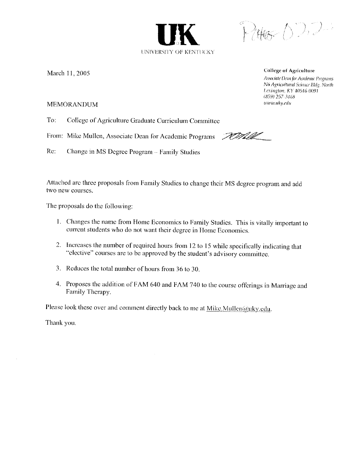

March 11, 2005

**College of Agriculture** 

<u>WMM</u>

Associate Dean for Academic Programs N6 Agricultural Science Bldg. North Lexington, KY 40546-0091  $(859)$  257-3468 www.uky.edu

## **MEMORANDUM**

To: College of Agriculture Graduate Curriculum Committee

From: Mike Mullen, Associate Dean for Academic Programs

Re: Change in MS Degree Program - Family Studies

Attached are three proposals from Family Studies to change their MS degree program and add two new courses.

The proposals do the following:

- 1. Changes the name from Home Economics to Family Studies. This is vitally important to current students who do not want their degree in Home Economics.
- 2. Increases the number of required hours from 12 to 15 while specifically indicating that "elective" courses are to be approved by the student's advisory committee.
- 3. Reduces the total number of hours from 36 to 30.
- 4. Proposes the addition of FAM 640 and FAM 740 to the course offerings in Marriage and Family Therapy.

Please look these over and comment directly back to me at  $Mike.Mullen@uky.edu.$ 

Thank you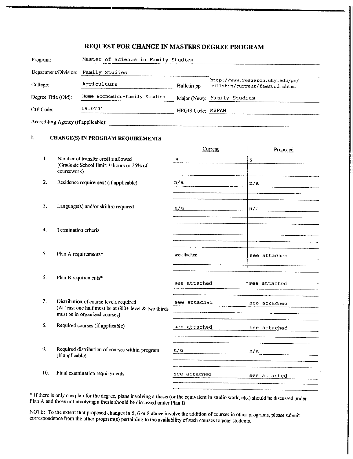## REQUEST FOR CHANGE IN MASTERS DEGREE PROGRAM

| Program:                            | Master of Science in Family Studies |                   |                                                                   |
|-------------------------------------|-------------------------------------|-------------------|-------------------------------------------------------------------|
| Department/Division:                | Family Studies                      |                   |                                                                   |
| College:                            | Agriculture                         | Bulletin pp       | http://www.research.uky.edu/qs/<br>bulletin/current/famstud.shtml |
| Degree Title (OId):                 | Home Economics-Family Studies       |                   | Major (New): Family Studies                                       |
| CIP Code:                           | 19.0701                             | HEGIS Code: MSFAM |                                                                   |
| Accrediting Agency (if applicable): |                                     |                   |                                                                   |

#### Ī. **CHANGE(S) IN PROGRAM REQUIREMENTS**

|                |                                                                                                   | Current      | Proposed     |
|----------------|---------------------------------------------------------------------------------------------------|--------------|--------------|
| $\mathbf{1}$ . | Number of transfer credi s allowed<br>(Graduate School limit: 9 hours or 25% of<br>coursework)    | 9            | 9            |
| 2.             | Residence requirement (if applicable)                                                             | n/a          | n/a          |
|                |                                                                                                   |              |              |
| 3.             | Language(s) and/or skill(s) required                                                              | n/a          | n/a          |
|                |                                                                                                   |              |              |
| 4.             | Termination criteria                                                                              |              |              |
|                |                                                                                                   |              |              |
| 5.             | Plan A requirements*                                                                              | see attached | see attached |
|                |                                                                                                   |              |              |
| 6.             | Plan B requirements*                                                                              | see attached | see attached |
|                |                                                                                                   |              |              |
| 7 <sub>z</sub> | Distribution of course levels required<br>(At least one half must be at $600+$ level & two thirds | see attacned | see attacned |
|                | must be in organized courses)                                                                     |              |              |
| 8.             | Required courses (if applicable)                                                                  | see attached | see attached |
|                |                                                                                                   |              |              |
| 9.             | Required distribution of courses within program<br>(if applicable)                                | n/a          | n/a          |
|                |                                                                                                   |              |              |
| 10.            | Final examination requirements                                                                    | see attached | see attached |
|                |                                                                                                   |              |              |

\* If there is only one plan for the degree, plans involving a thesis (or the equivalent in studio work, etc.) should be discussed under Plan A and those not involving a thesis should be discussed under Plan B.

NOTE: To the extent that proposed changes in 5, 6 or 8 above involve the addition of courses in other programs, please submit correspondence from the other program(s) pertaining to the availability of such courses to your students.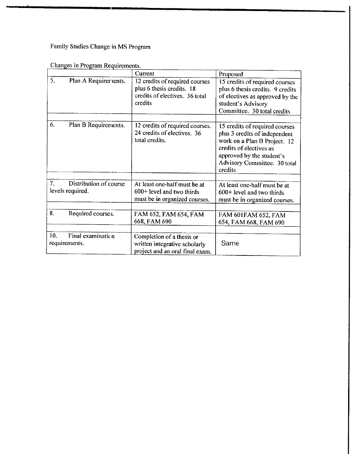Family Studies Change in MS Program

|     |                                            | Current                                                                                                  | Proposed                                                                                                                                                                                           |
|-----|--------------------------------------------|----------------------------------------------------------------------------------------------------------|----------------------------------------------------------------------------------------------------------------------------------------------------------------------------------------------------|
| 5.  | Plan A Requirements.                       | 12 credits of required courses<br>plus 6 thesis credits. 18<br>credits of electives. 36 total<br>credits | 15 credits of required courses<br>plus 6 thesis credits. 9 credits<br>of electives as approved by the<br>student's Advisory<br>Committee. 30 total credits                                         |
| 6.  | Plan B Requirements.                       | 12 credits of required courses.<br>24 credits of electives. 36<br>total credits.                         | 15 credits of required courses<br>plus 3 credits of independent<br>work on a Plan B Project. 12<br>credits of electives as<br>approved by the student's<br>Advisory Committee. 30 total<br>credits |
| 7.  | Distribution of course<br>levels required. | At least one-half must be at<br>$600+$ level and two thirds<br>must be in organized courses.             | At least one-half must be at<br>600+ level and two thirds<br>must be in organized courses.                                                                                                         |
| 8.  | Required courses.                          | FAM 652, FAM 654, FAM<br>668, FAM 690                                                                    | FAM 601FAM 652, FAM<br>654, FAM 668, FAM 690                                                                                                                                                       |
| 10. | Final examination<br>requirements.         | Completion of a thesis or<br>written integrative scholarly<br>project and an oral final exam.            | Same                                                                                                                                                                                               |

Changes in Program Requirements.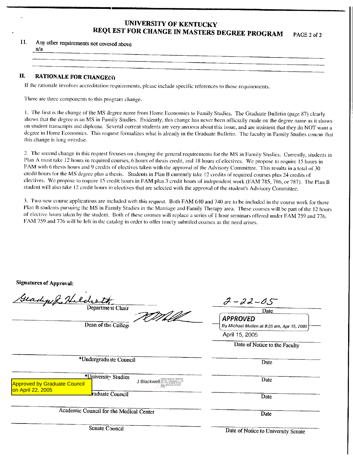#### **UNIVERSITY OF KENTUCKY** REQUEST FOR CHANGE IN MASTERS DEGREE PROGRAM PAGE 2 of 2

11. Any other requirements not covered above

| .wa                                                                                                            |                                                                                                                |
|----------------------------------------------------------------------------------------------------------------|----------------------------------------------------------------------------------------------------------------|
| <b>The Communication of the Communication</b>                                                                  | communication of the matter of the contract of the contract of the contract of the contract of the contract of |
| ta a sa tanàna ao amin'ny fivondronan-departementan'i Amerika ao amin'ny faritr'i Normandie, ao amin'ny faritr | __<br>___________                                                                                              |
|                                                                                                                |                                                                                                                |
|                                                                                                                |                                                                                                                |

#### II. **RATIONALE FOR CHANGE(5)**

If the rationale involves accreditation requirements, please include specific references to those requirements.

There are three components to this program change.

1. The first is the change of the MS degree name from Home Economics to Family Studies. The Graduate Bulletin (page 87) clearly shows that the degree is an MS in Family Studies. Evidently, this change has never been officially made on the degree name as it shows on student transcripts and diploma. Several current students are very anxious about this issue, and are insistent that they do NOT want a degree in Home Economics. This request formalizes what is already in the Graduate Bulletin. The faculty in Family Studies concur that this change is long overdue.

2. The second change in this request focuses on changing the general requirements for the MS in Family Studies. Currently, students in Plan A must take 12 hours in required courses, 6 hours of thesis credit, and 18 hours of electives. We propose to require 15 hours in FAM with 6 thesis hours and 9 credits of electives taken with the approval of the Advisory Committee. This results in a total of 30 credit hours for the MS degree plus a thesis. Students in Plan B currently take 12 credits of required courses plus 24 credits of electives. We propose to require 15 credit hours in FAM plus 3 credit hours of independent work (FAM 785, 786, or 787). The Plan B student will also take 12 credit hours in electives that are selected with the approval of the student's Advisory Committee.

3. Two new course applications are included with this request. Both FAM 640 and 740 are to be included in the course work for those Plan B students pursuing the MS in Family Studies in the Marriage and Family Therapy area. These courses will be part of the 12 hours of elective hours taken by the student. Both of these courses will replace a series of 1 hour seminars offered under FAM 759 and 776. FAM 759 and 776 will be left in the catalog in order to offer timely subtitled courses as the need arises.

**Signatures of Approval:** 

| Geadepol Helderth<br>Department Chair                                                                                                                                        | $2 - 22 - 05$                                                 |
|------------------------------------------------------------------------------------------------------------------------------------------------------------------------------|---------------------------------------------------------------|
|                                                                                                                                                                              | Date                                                          |
| Dean of the College                                                                                                                                                          | <b>APPROVED</b><br>By Michael Mullen at 9:35 am, Apr 15, 2005 |
|                                                                                                                                                                              | April 15, 2005                                                |
|                                                                                                                                                                              | Date of Notice to the Faculty                                 |
| *Undergraduate Council                                                                                                                                                       | Date                                                          |
| *University Studies<br>J Blackwell DN: CN = J Blackwell, C = US,<br>J Blackwell, OU = The Graduate School<br><b>Approved by Graduate Council</b><br>ate: 2005 04:22 15:35:52 | Date                                                          |
| on April 22, 2005<br>raduate Council                                                                                                                                         | Date                                                          |
| Academic Council for the Medical Center                                                                                                                                      | Date                                                          |
| Senate Council                                                                                                                                                               | Date of Notice to University Senate                           |